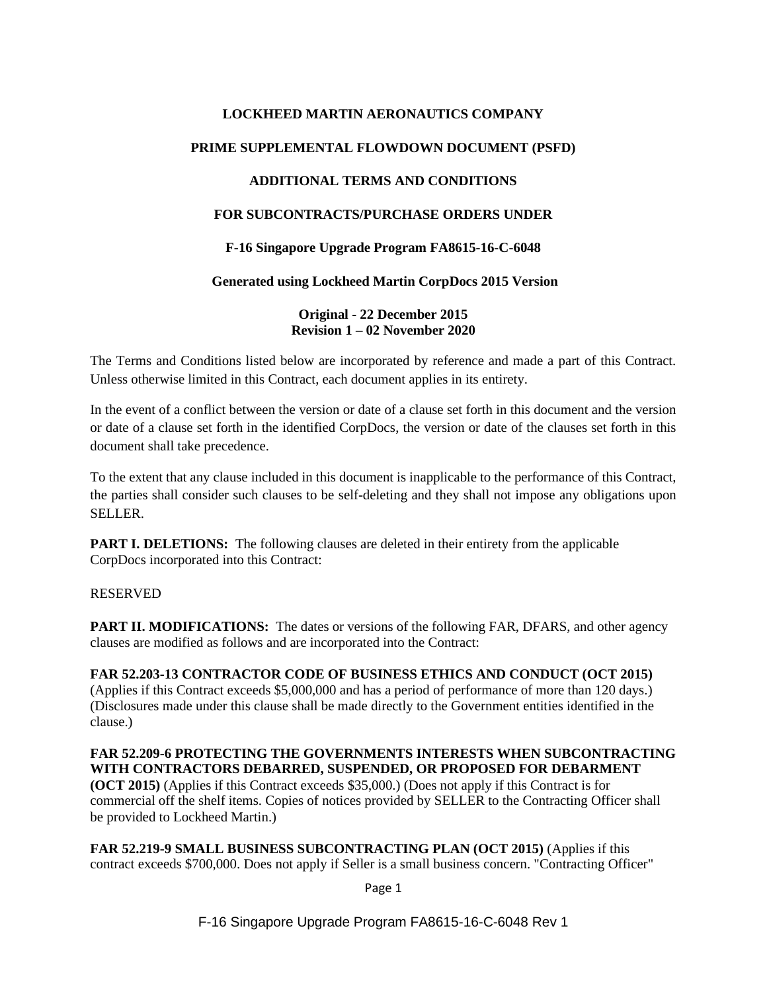# **LOCKHEED MARTIN AERONAUTICS COMPANY**

## **PRIME SUPPLEMENTAL FLOWDOWN DOCUMENT (PSFD)**

## **ADDITIONAL TERMS AND CONDITIONS**

# **FOR SUBCONTRACTS/PURCHASE ORDERS UNDER**

## **F-16 Singapore Upgrade Program FA8615-16-C-6048**

#### **Generated using Lockheed Martin CorpDocs 2015 Version**

**Original - 22 December 2015 Revision 1 – 02 November 2020**

The Terms and Conditions listed below are incorporated by reference and made a part of this Contract. Unless otherwise limited in this Contract, each document applies in its entirety.

In the event of a conflict between the version or date of a clause set forth in this document and the version or date of a clause set forth in the identified CorpDocs, the version or date of the clauses set forth in this document shall take precedence.

To the extent that any clause included in this document is inapplicable to the performance of this Contract, the parties shall consider such clauses to be self-deleting and they shall not impose any obligations upon SELLER.

**PART I. DELETIONS:** The following clauses are deleted in their entirety from the applicable CorpDocs incorporated into this Contract:

#### RESERVED

**PART II. MODIFICATIONS:** The dates or versions of the following FAR, DFARS, and other agency clauses are modified as follows and are incorporated into the Contract:

**FAR 52.203-13 CONTRACTOR CODE OF BUSINESS ETHICS AND CONDUCT (OCT 2015)**  (Applies if this Contract exceeds \$5,000,000 and has a period of performance of more than 120 days.) (Disclosures made under this clause shall be made directly to the Government entities identified in the clause.)

### **FAR 52.209-6 PROTECTING THE GOVERNMENTS INTERESTS WHEN SUBCONTRACTING WITH CONTRACTORS DEBARRED, SUSPENDED, OR PROPOSED FOR DEBARMENT**

**(OCT 2015)** (Applies if this Contract exceeds \$35,000.) (Does not apply if this Contract is for commercial off the shelf items. Copies of notices provided by SELLER to the Contracting Officer shall be provided to Lockheed Martin.)

**FAR 52.219-9 SMALL BUSINESS SUBCONTRACTING PLAN (OCT 2015)** (Applies if this contract exceeds \$700,000. Does not apply if Seller is a small business concern. "Contracting Officer"

Page 1

F-16 Singapore Upgrade Program FA8615-16-C-6048 Rev 1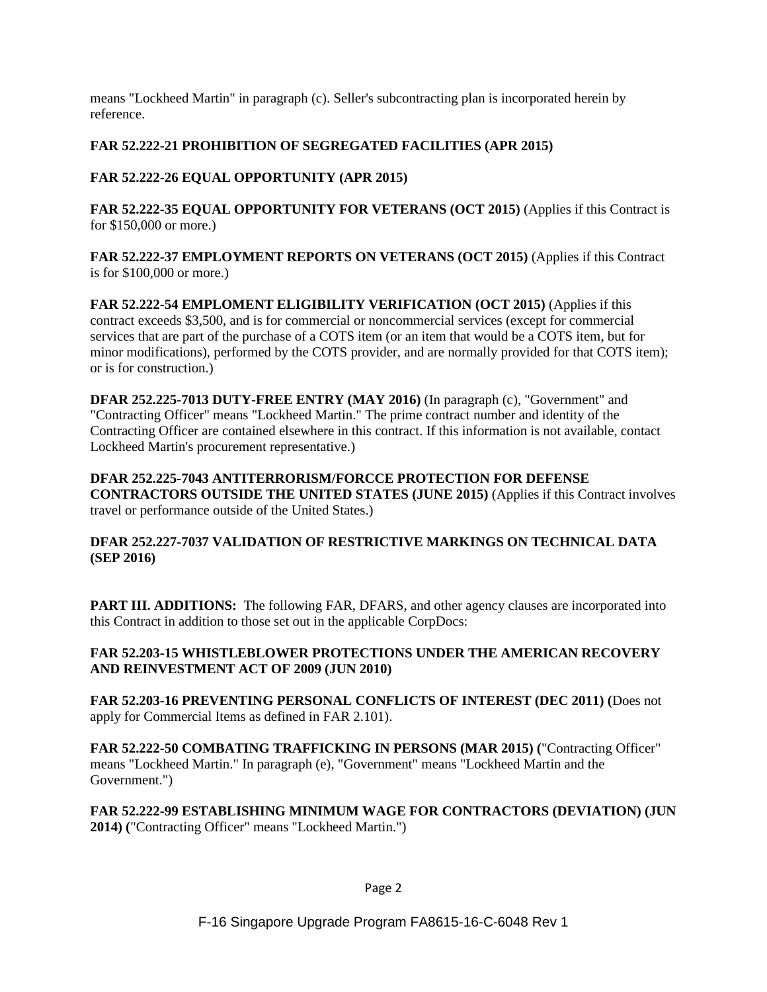means "Lockheed Martin" in paragraph (c). Seller's subcontracting plan is incorporated herein by reference.

# **FAR 52.222-21 PROHIBITION OF SEGREGATED FACILITIES (APR 2015)**

# **FAR 52.222-26 EQUAL OPPORTUNITY (APR 2015)**

**FAR 52.222-35 EQUAL OPPORTUNITY FOR VETERANS (OCT 2015)** (Applies if this Contract is for \$150,000 or more.)

**FAR 52.222-37 EMPLOYMENT REPORTS ON VETERANS (OCT 2015)** (Applies if this Contract is for \$100,000 or more.)

**FAR 52.222-54 EMPLOMENT ELIGIBILITY VERIFICATION (OCT 2015)** (Applies if this contract exceeds \$3,500, and is for commercial or noncommercial services (except for commercial services that are part of the purchase of a COTS item (or an item that would be a COTS item, but for minor modifications), performed by the COTS provider, and are normally provided for that COTS item); or is for construction.)

**DFAR 252.225-7013 DUTY-FREE ENTRY (MAY 2016)** (In paragraph (c), "Government" and "Contracting Officer" means "Lockheed Martin." The prime contract number and identity of the Contracting Officer are contained elsewhere in this contract. If this information is not available, contact Lockheed Martin's procurement representative.)

### **DFAR 252.225-7043 ANTITERRORISM/FORCCE PROTECTION FOR DEFENSE**

**CONTRACTORS OUTSIDE THE UNITED STATES (JUNE 2015)** (Applies if this Contract involves travel or performance outside of the United States.)

## **DFAR 252.227-7037 VALIDATION OF RESTRICTIVE MARKINGS ON TECHNICAL DATA (SEP 2016)**

**PART III. ADDITIONS:** The following FAR, DFARS, and other agency clauses are incorporated into this Contract in addition to those set out in the applicable CorpDocs:

### **FAR 52.203-15 WHISTLEBLOWER PROTECTIONS UNDER THE AMERICAN RECOVERY AND REINVESTMENT ACT OF 2009 (JUN 2010)**

**FAR 52.203-16 PREVENTING PERSONAL CONFLICTS OF INTEREST (DEC 2011) (**Does not apply for Commercial Items as defined in FAR 2.101).

**FAR 52.222-50 COMBATING TRAFFICKING IN PERSONS (MAR 2015) (**"Contracting Officer" means "Lockheed Martin." In paragraph (e), "Government" means "Lockheed Martin and the Government.")

**FAR 52.222-99 ESTABLISHING MINIMUM WAGE FOR CONTRACTORS (DEVIATION) (JUN 2014) (**"Contracting Officer" means "Lockheed Martin.")

Page 2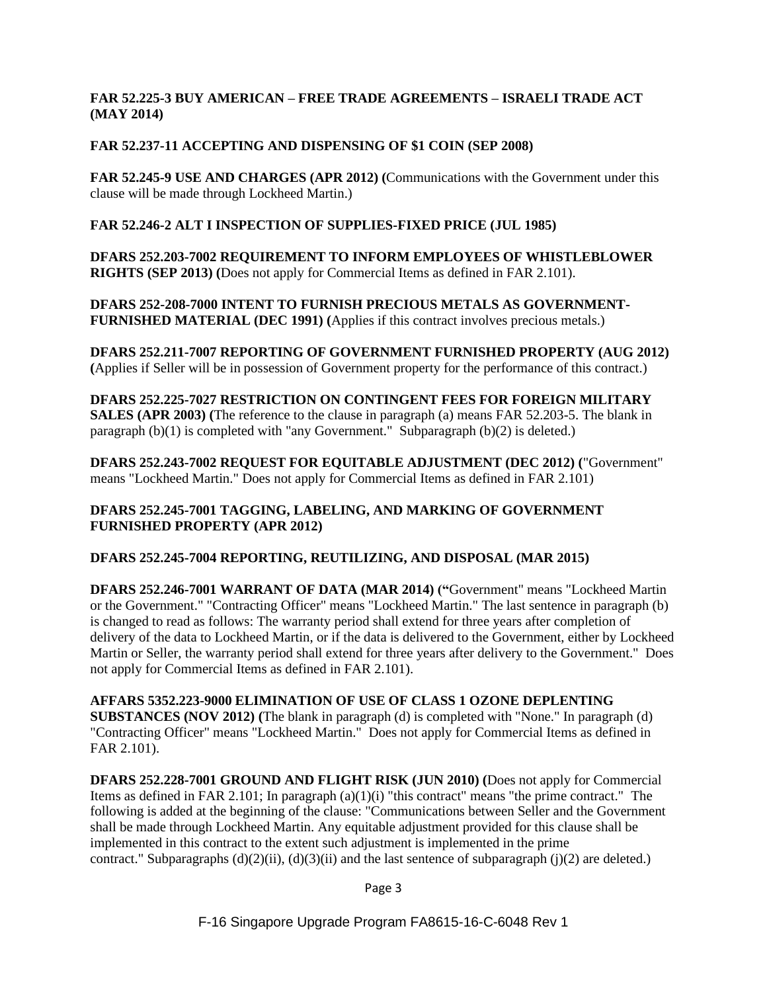## **FAR 52.225-3 BUY AMERICAN – FREE TRADE AGREEMENTS – ISRAELI TRADE ACT (MAY 2014)**

## **FAR 52.237-11 ACCEPTING AND DISPENSING OF \$1 COIN (SEP 2008)**

**FAR 52.245-9 USE AND CHARGES (APR 2012) (**Communications with the Government under this clause will be made through Lockheed Martin.)

#### **FAR 52.246-2 ALT I INSPECTION OF SUPPLIES-FIXED PRICE (JUL 1985)**

**DFARS 252.203-7002 REQUIREMENT TO INFORM EMPLOYEES OF WHISTLEBLOWER RIGHTS (SEP 2013) (**Does not apply for Commercial Items as defined in FAR 2.101).

**DFARS 252-208-7000 INTENT TO FURNISH PRECIOUS METALS AS GOVERNMENT-FURNISHED MATERIAL (DEC 1991) (**Applies if this contract involves precious metals.)

**DFARS 252.211-7007 REPORTING OF GOVERNMENT FURNISHED PROPERTY (AUG 2012) (**Applies if Seller will be in possession of Government property for the performance of this contract.)

**DFARS 252.225-7027 RESTRICTION ON CONTINGENT FEES FOR FOREIGN MILITARY SALES (APR 2003) (**The reference to the clause in paragraph (a) means FAR 52.203-5. The blank in paragraph (b)(1) is completed with "any Government." Subparagraph (b)(2) is deleted.)

**DFARS 252.243-7002 REQUEST FOR EQUITABLE ADJUSTMENT (DEC 2012) (**"Government" means "Lockheed Martin." Does not apply for Commercial Items as defined in FAR 2.101)

### **DFARS 252.245-7001 TAGGING, LABELING, AND MARKING OF GOVERNMENT FURNISHED PROPERTY (APR 2012)**

#### **DFARS 252.245-7004 REPORTING, REUTILIZING, AND DISPOSAL (MAR 2015)**

**DFARS 252.246-7001 WARRANT OF DATA (MAR 2014) ("**Government" means "Lockheed Martin or the Government." "Contracting Officer" means "Lockheed Martin." The last sentence in paragraph (b) is changed to read as follows: The warranty period shall extend for three years after completion of delivery of the data to Lockheed Martin, or if the data is delivered to the Government, either by Lockheed Martin or Seller, the warranty period shall extend for three years after delivery to the Government." Does not apply for Commercial Items as defined in FAR 2.101).

**AFFARS 5352.223-9000 ELIMINATION OF USE OF CLASS 1 OZONE DEPLENTING SUBSTANCES (NOV 2012) (**The blank in paragraph (d) is completed with "None." In paragraph (d) "Contracting Officer" means "Lockheed Martin." Does not apply for Commercial Items as defined in FAR 2.101).

**DFARS 252.228-7001 GROUND AND FLIGHT RISK (JUN 2010) (**Does not apply for Commercial Items as defined in FAR 2.101; In paragraph  $(a)(1)(i)$  "this contract" means "the prime contract." The following is added at the beginning of the clause: "Communications between Seller and the Government shall be made through Lockheed Martin. Any equitable adjustment provided for this clause shall be implemented in this contract to the extent such adjustment is implemented in the prime contract." Subparagraphs  $(d)(2)(ii)$ ,  $(d)(3)(ii)$  and the last sentence of subparagraph  $(i)(2)$  are deleted.)

Page 3

F-16 Singapore Upgrade Program FA8615-16-C-6048 Rev 1